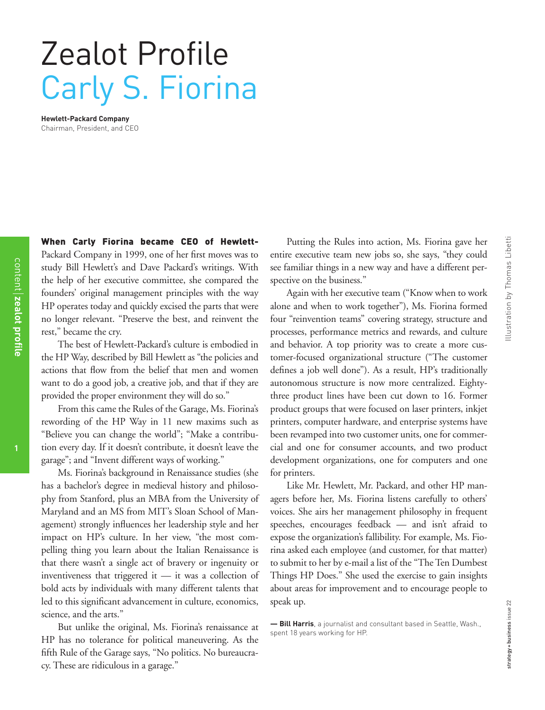## Zealot Profile Carly S. Fiorina

**Hewlett-Packard Company** Chairman, President, and CEO

When Carly Fiorina became CEO of Hewlett-Packard Company in 1999, one of her first moves was to study Bill Hewlett's and Dave Packard's writings. With the help of her executive committee, she compared the founders' original management principles with the way HP operates today and quickly excised the parts that were no longer relevant. "Preserve the best, and reinvent the rest," became the cry.

The best of Hewlett-Packard's culture is embodied in the HP Way, described by Bill Hewlett as "the policies and actions that flow from the belief that men and women want to do a good job, a creative job, and that if they are provided the proper environment they will do so."

From this came the Rules of the Garage, Ms. Fiorina's rewording of the HP Way in 11 new maxims such as "Believe you can change the world"; "Make a contribution every day. If it doesn't contribute, it doesn't leave the garage"; and "Invent different ways of working."

Ms. Fiorina's background in Renaissance studies (she has a bachelor's degree in medieval history and philosophy from Stanford, plus an MBA from the University of Maryland and an MS from MIT's Sloan School of Management) strongly influences her leadership style and her impact on HP's culture. In her view, "the most compelling thing you learn about the Italian Renaissance is that there wasn't a single act of bravery or ingenuity or inventiveness that triggered it — it was a collection of bold acts by individuals with many different talents that led to this significant advancement in culture, economics, science, and the arts."

But unlike the original, Ms. Fiorina's renaissance at HP has no tolerance for political maneuvering. As the fifth Rule of the Garage says, "No politics. No bureaucracy. These are ridiculous in a garage."

Putting the Rules into action, Ms. Fiorina gave her entire executive team new jobs so, she says, "they could see familiar things in a new way and have a different perspective on the business."

Again with her executive team ("Know when to work alone and when to work together"), Ms. Fiorina formed four "reinvention teams" covering strategy, structure and processes, performance metrics and rewards, and culture and behavior. A top priority was to create a more customer-focused organizational structure ("The customer defines a job well done"). As a result, HP's traditionally autonomous structure is now more centralized. Eightythree product lines have been cut down to 16. Former product groups that were focused on laser printers, inkjet printers, computer hardware, and enterprise systems have been revamped into two customer units, one for commercial and one for consumer accounts, and two product development organizations, one for computers and one for printers.

Like Mr. Hewlett, Mr. Packard, and other HP managers before her, Ms. Fiorina listens carefully to others' voices. She airs her management philosophy in frequent speeches, encourages feedback — and isn't afraid to expose the organization's fallibility. For example, Ms. Fiorina asked each employee (and customer, for that matter) to submit to her by e-mail a list of the "The Ten Dumbest Things HP Does." She used the exercise to gain insights about areas for improvement and to encourage people to speak up.

content **| zealot profile** 

**zealot profile**

**<sup>—</sup> Bill Harris**, a journalist and consultant based in Seattle, Wash., spent 18 years working for HP.